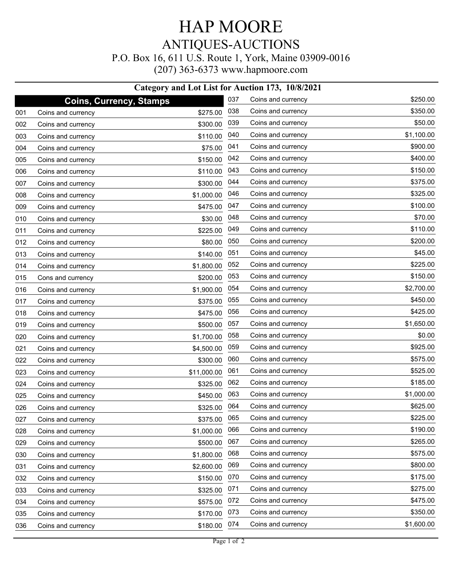## HAP MOORE ANTIQUES-AUCTIONS P.O. Box 16, 611 U.S. Route 1, York, Maine 03909-0016 (207) 363-6373 www.hapmoore.com

|     |                    | Category and Lot List for Auction 173, 10/8/2021 |     |                    |            |
|-----|--------------------|--------------------------------------------------|-----|--------------------|------------|
|     |                    | <b>Coins, Currency, Stamps</b>                   | 037 | Coins and currency | \$250.00   |
| 001 | Coins and currency | \$275.00                                         | 038 | Coins and currency | \$350.00   |
| 002 | Coins and currency | \$300.00                                         | 039 | Coins and currency | \$50.00    |
| 003 | Coins and currency | \$110.00                                         | 040 | Coins and currency | \$1,100.00 |
| 004 | Coins and currency | \$75.00                                          | 041 | Coins and currency | \$900.00   |
| 005 | Coins and currency | \$150.00                                         | 042 | Coins and currency | \$400.00   |
| 006 | Coins and currency | \$110.00                                         | 043 | Coins and currency | \$150.00   |
| 007 | Coins and currency | \$300.00                                         | 044 | Coins and currency | \$375.00   |
| 008 | Coins and currency | \$1,000.00                                       | 046 | Coins and currency | \$325.00   |
| 009 | Coins and currency | \$475.00                                         | 047 | Coins and currency | \$100.00   |
| 010 | Coins and currency | \$30.00                                          | 048 | Coins and currency | \$70.00    |
| 011 | Coins and currency | \$225.00                                         | 049 | Coins and currency | \$110.00   |
| 012 | Coins and currency | \$80.00                                          | 050 | Coins and currency | \$200.00   |
| 013 | Coins and currency | \$140.00                                         | 051 | Coins and currency | \$45.00    |
| 014 | Coins and currency | \$1,800.00                                       | 052 | Coins and currency | \$225.00   |
| 015 | Cons and currency  | \$200.00                                         | 053 | Coins and currency | \$150.00   |
| 016 | Coins and currency | \$1,900.00                                       | 054 | Coins and currency | \$2,700.00 |
| 017 | Coins and currency | \$375.00                                         | 055 | Coins and currency | \$450.00   |
| 018 | Coins and currency | \$475.00                                         | 056 | Coins and currency | \$425.00   |
| 019 | Coins and currency | \$500.00                                         | 057 | Coins and currency | \$1,650.00 |
| 020 | Coins and currency | \$1,700.00                                       | 058 | Coins and currency | \$0.00     |
| 021 | Coins and currency | \$4,500.00                                       | 059 | Coins and currency | \$925.00   |
| 022 | Coins and currency | \$300.00                                         | 060 | Coins and currency | \$575.00   |
| 023 | Coins and currency | \$11,000.00                                      | 061 | Coins and currency | \$525.00   |
| 024 | Coins and currency | \$325.00                                         | 062 | Coins and currency | \$185.00   |
| 025 | Coins and currency | \$450.00                                         | 063 | Coins and currency | \$1,000.00 |
| 026 | Coins and currency | \$325.00                                         | 064 | Coins and currency | \$625.00   |
| 027 | Coins and currency | \$375.00                                         | 065 | Coins and currency | \$225.00   |
| 028 | Coins and currency | \$1,000.00                                       | 066 | Coins and currency | \$190.00   |
| 029 | Coins and currency | \$500.00                                         | 067 | Coins and currency | \$265.00   |
| 030 | Coins and currency | \$1,800.00                                       | 068 | Coins and currency | \$575.00   |
| 031 | Coins and currency | \$2,600.00                                       | 069 | Coins and currency | \$800.00   |
| 032 | Coins and currency | \$150.00                                         | 070 | Coins and currency | \$175.00   |
| 033 | Coins and currency | \$325.00                                         | 071 | Coins and currency | \$275.00   |
| 034 | Coins and currency | \$575.00                                         | 072 | Coins and currency | \$475.00   |
| 035 | Coins and currency | \$170.00                                         | 073 | Coins and currency | \$350.00   |
| 036 | Coins and currency | \$180.00                                         | 074 | Coins and currency | \$1,600.00 |
|     |                    |                                                  |     |                    |            |